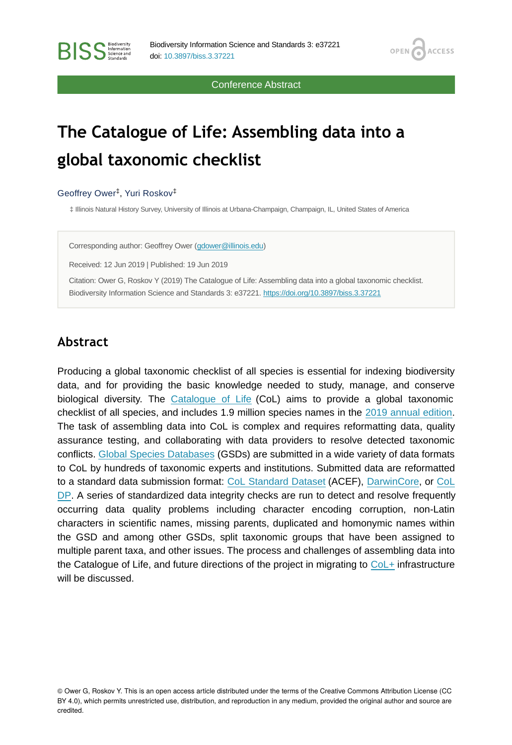Conference Abstract

**OPEN** 

**ACCESS** 

# **The Catalogue of Life: Assembling data into a global taxonomic checklist**

#### Geoffrey Ower<sup>‡</sup>, Yuri Roskov<sup>‡</sup>

‡ Illinois Natural History Survey, University of Illinois at Urbana-Champaign, Champaign, IL, United States of America

Corresponding author: Geoffrey Ower ([gdower@illinois.edu](mailto:gdower@illinois.edu))

Received: 12 Jun 2019 | Published: 19 Jun 2019

Citation: Ower G, Roskov Y (2019) The Catalogue of Life: Assembling data into a global taxonomic checklist. Biodiversity Information Science and Standards 3: e37221.<https://doi.org/10.3897/biss.3.37221>

#### **Abstract**

Producing a global taxonomic checklist of all species is essential for indexing biodiversity data, and for providing the basic knowledge needed to study, manage, and conserve biological diversity. The [Catalogue of Life](http://www.catalogueoflife.org) (CoL) aims to provide a global taxonomic checklist of all species, and includes 1.9 million species names in the [2019 annual edition.](http://www.catalogueoflife.org) The task of assembling data into CoL is complex and requires reformatting data, quality assurance testing, and collaborating with data providers to resolve detected taxonomic conflicts. [Global Species Databases](http://www.catalogueoflife.org/col/info/databases) (GSDs) are submitted in a wide variety of data formats to CoL by hundreds of taxonomic experts and institutions. Submitted data are reformatted to a standard data submission format: [CoL Standard Dataset](http://www.catalogueoflife.org/content/contributing-your-data) (ACEF), [DarwinCore,](http://dwc.tdwg.org) or [CoL](http://github.com/sp2000/coldp) [DP.](http://github.com/sp2000/coldp) A series of standardized data integrity checks are run to detect and resolve frequently occurring data quality problems including character encoding corruption, non-Latin characters in scientific names, missing parents, duplicated and homonymic names within the GSD and among other GSDs, split taxonomic groups that have been assigned to multiple parent taxa, and other issues. The process and challenges of assembling data into the Catalogue of Life, and future directions of the project in migrating to [CoL+](https://github.com/sp2000/colplus) infrastructure will be discussed.

© Ower G, Roskov Y. This is an open access article distributed under the terms of the Creative Commons Attribution License (CC BY 4.0), which permits unrestricted use, distribution, and reproduction in any medium, provided the original author and source are credited.